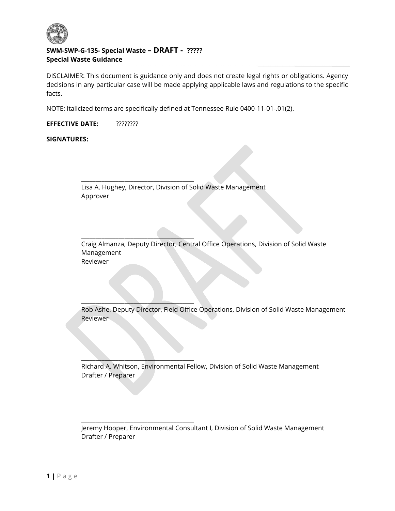

j

# SWM-SWP-G-135- Special Waste – DRAFT - ????? Special Waste Guidance

DISCLAIMER: This document is guidance only and does not create legal rights or obligations. Agency decisions in any particular case will be made applying applicable laws and regulations to the specific facts.

NOTE: Italicized terms are specifically defined at Tennessee Rule 0400-11-01-.01(2).

EFFECTIVE DATE: ????????

SIGNATURES:

Lisa A. Hughey, Director, Division of Solid Waste Management Approver

\_\_\_\_\_\_\_\_\_\_\_\_\_\_\_\_\_\_\_\_\_\_\_\_\_\_\_\_\_\_\_\_\_\_\_\_\_\_\_

\_\_\_\_\_\_\_\_\_\_\_\_\_\_\_\_\_\_\_\_\_\_\_\_\_\_\_\_\_\_\_\_\_\_\_\_\_\_\_

 $\overline{\phantom{a}}$  , where  $\overline{\phantom{a}}$  , where  $\overline{\phantom{a}}$  , where  $\overline{\phantom{a}}$  , where  $\overline{\phantom{a}}$ 

 $\overline{\phantom{a}}$  ,  $\overline{\phantom{a}}$  ,  $\overline{\phantom{a}}$  ,  $\overline{\phantom{a}}$  ,  $\overline{\phantom{a}}$  ,  $\overline{\phantom{a}}$  ,  $\overline{\phantom{a}}$  ,  $\overline{\phantom{a}}$  ,  $\overline{\phantom{a}}$  ,  $\overline{\phantom{a}}$  ,  $\overline{\phantom{a}}$  ,  $\overline{\phantom{a}}$  ,  $\overline{\phantom{a}}$  ,  $\overline{\phantom{a}}$  ,  $\overline{\phantom{a}}$  ,  $\overline{\phantom{a}}$ 

\_\_\_\_\_\_\_\_\_\_\_\_\_\_\_\_\_\_\_\_\_\_\_\_\_\_\_\_\_\_\_\_\_\_\_\_\_\_\_

Craig Almanza, Deputy Director, Central Office Operations, Division of Solid Waste Management Reviewer

Rob Ashe, Deputy Director, Field Office Operations, Division of Solid Waste Management Reviewer

Richard A. Whitson, Environmental Fellow, Division of Solid Waste Management Drafter / Preparer

Jeremy Hooper, Environmental Consultant I, Division of Solid Waste Management Drafter / Preparer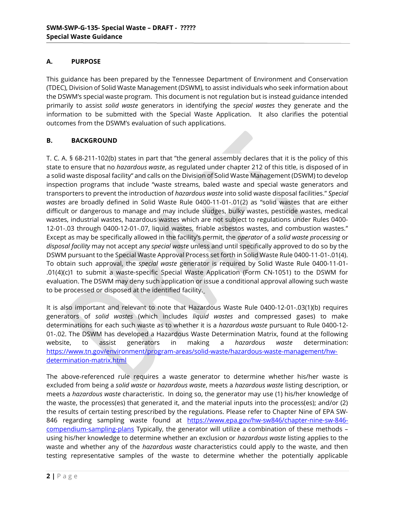# A. PURPOSE

Ī

This guidance has been prepared by the Tennessee Department of Environment and Conservation (TDEC), Division of Solid Waste Management (DSWM), to assist individuals who seek information about the DSWM's special waste program. This document is not regulation but is instead guidance intended primarily to assist solid waste generators in identifying the special wastes they generate and the information to be submitted with the Special Waste Application. It also clarifies the potential outcomes from the DSWM's evaluation of such applications.

## B. BACKGROUND

T. C. A. § 68-211-102(b) states in part that "the general assembly declares that it is the policy of this state to ensure that no hazardous waste, as regulated under chapter 212 of this title, is disposed of in a solid waste disposal facility" and calls on the Division of Solid Waste Management (DSWM) to develop inspection programs that include "waste streams, baled waste and special waste generators and transporters to prevent the introduction of hazardous waste into solid waste disposal facilities." Special wastes are broadly defined in Solid Waste Rule 0400-11-01-.01(2) as "solid wastes that are either difficult or dangerous to manage and may include sludges, bulky wastes, pesticide wastes, medical wastes, industrial wastes, hazardous wastes which are not subject to regulations under Rules 0400- 12-01-.03 through 0400-12-01-.07, liquid wastes, friable asbestos wastes, and combustion wastes." Except as may be specifically allowed in the facility's permit, the operator of a solid waste processing or disposal facility may not accept any special waste unless and until specifically approved to do so by the DSWM pursuant to the Special Waste Approval Process set forth in Solid Waste Rule 0400-11-01-.01(4). To obtain such approval, the special waste generator is required by Solid Waste Rule 0400-11-01- .01(4)(c)1 to submit a waste-specific Special Waste Application (Form CN-1051) to the DSWM for evaluation. The DSWM may deny such application or issue a conditional approval allowing such waste to be processed or disposed at the identified facility.

It is also important and relevant to note that Hazardous Waste Rule 0400-12-01-.03(1)(b) requires generators of solid wastes (which includes liquid wastes and compressed gases) to make determinations for each such waste as to whether it is a hazardous waste pursuant to Rule 0400-12- 01-.02. The DSWM has developed a Hazardous Waste Determination Matrix, found at the following website, to assist generators in making a hazardous waste determination: https://www.tn.gov/environment/program-areas/solid-waste/hazardous-waste-management/hwdetermination-matrix.html

The above-referenced rule requires a waste generator to determine whether his/her waste is excluded from being a solid waste or hazardous waste, meets a hazardous waste listing description, or meets a hazardous waste characteristic. In doing so, the generator may use (1) his/her knowledge of the waste, the process(es) that generated it, and the material inputs into the process(es); and/or (2) the results of certain testing prescribed by the regulations. Please refer to Chapter Nine of EPA SW-846 regarding sampling waste found at https://www.epa.gov/hw-sw846/chapter-nine-sw-846 compendium-sampling-plans Typically, the generator will utilize a combination of these methods using his/her knowledge to determine whether an exclusion or hazardous waste listing applies to the waste and whether any of the *hazardous waste* characteristics could apply to the waste, and then testing representative samples of the waste to determine whether the potentially applicable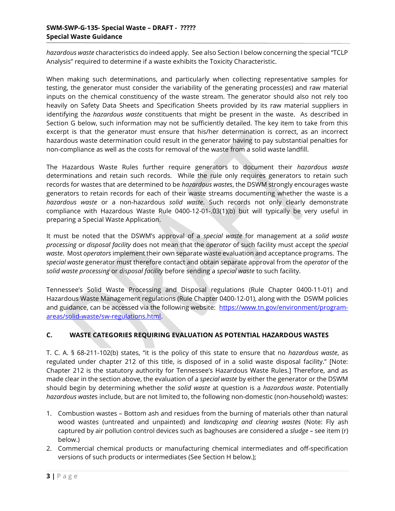#### SWM-SWP-G-135- Special Waste – DRAFT - ????? Special Waste Guidance

Ī

hazardous waste characteristics do indeed apply. See also Section I below concerning the special "TCLP Analysis" required to determine if a waste exhibits the Toxicity Characteristic.

When making such determinations, and particularly when collecting representative samples for testing, the generator must consider the variability of the generating process(es) and raw material inputs on the chemical constituency of the waste stream. The generator should also not rely too heavily on Safety Data Sheets and Specification Sheets provided by its raw material suppliers in identifying the *hazardous waste* constituents that might be present in the waste. As described in Section G below, such information may not be sufficiently detailed. The key item to take from this excerpt is that the generator must ensure that his/her determination is correct, as an incorrect hazardous waste determination could result in the generator having to pay substantial penalties for non-compliance as well as the costs for removal of the waste from a solid waste landfill.

The Hazardous Waste Rules further require generators to document their hazardous waste determinations and retain such records. While the rule only requires generators to retain such records for wastes that are determined to be hazardous wastes, the DSWM strongly encourages waste generators to retain records for each of their waste streams documenting whether the waste is a hazardous waste or a non-hazardous solid waste. Such records not only clearly demonstrate compliance with Hazardous Waste Rule 0400-12-01-.03(1)(b) but will typically be very useful in preparing a Special Waste Application.

It must be noted that the DSWM's approval of a special waste for management at a solid waste processing or disposal facility does not mean that the operator of such facility must accept the special waste. Most operators implement their own separate waste evaluation and acceptance programs. The special waste generator must therefore contact and obtain separate approval from the operator of the solid waste processing or disposal facility before sending a special waste to such facility.

Tennessee's Solid Waste Processing and Disposal regulations (Rule Chapter 0400-11-01) and Hazardous Waste Management regulations (Rule Chapter 0400-12-01), along with the DSWM policies and guidance, can be accessed via the following website: https://www.tn.gov/environment/programareas/solid-waste/sw-regulations.html.

## C. WASTE CATEGORIES REQUIRING EVALUATION AS POTENTIAL HAZARDOUS WASTES

T. C. A. § 68-211-102(b) states, "it is the policy of this state to ensure that no hazardous waste, as regulated under chapter 212 of this title, is disposed of in a solid waste disposal facility." [Note: Chapter 212 is the statutory authority for Tennessee's Hazardous Waste Rules.] Therefore, and as made clear in the section above, the evaluation of a special waste by either the generator or the DSWM should begin by determining whether the solid waste at question is a hazardous waste. Potentially hazardous wastes include, but are not limited to, the following non-domestic (non-household) wastes:

- 1. Combustion wastes Bottom ash and residues from the burning of materials other than natural wood wastes (untreated and unpainted) and landscaping and clearing wastes (Note: Fly ash captured by air pollution control devices such as baghouses are considered a sludge - see item  $(r)$ below.)
- 2. Commercial chemical products or manufacturing chemical intermediates and off-specification versions of such products or intermediates (See Section H below.);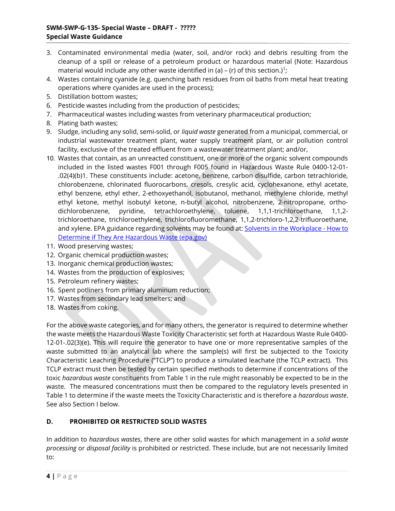- 3. Contaminated environmental media (water, soil, and/or rock) and debris resulting from the cleanup of a spill or release of a petroleum product or hazardous material (Note: Hazardous material would include any other waste identified in (a) – (r) of this section.)<sup>1</sup>;
- 4. Wastes containing cyanide (e.g. quenching bath residues from oil baths from metal heat treating operations where cyanides are used in the process);
- 5. Distillation bottom wastes;
- 6. Pesticide wastes including from the production of pesticides;
- 7. Pharmaceutical wastes including wastes from veterinary pharmaceutical production;
- 8. Plating bath wastes;

- 9. Sludge, including any solid, semi-solid, or liquid waste generated from a municipal, commercial, or industrial wastewater treatment plant, water supply treatment plant, or air pollution control facility, exclusive of the treated effluent from a wastewater treatment plant; and/or,
- 10. Wastes that contain, as an unreacted constituent, one or more of the organic solvent compounds included in the listed wastes F001 through F005 found in Hazardous Waste Rule 0400-12-01- .02(4)(b)1. These constituents include: acetone, benzene, carbon disulfide, carbon tetrachloride, chlorobenzene, chlorinated fluorocarbons, cresols, cresylic acid, cyclohexanone, ethyl acetate, ethyl benzene, ethyl ether, 2-ethoxyethanol, isobutanol, methanol, methylene chloride, methyl ethyl ketone, methyl isobutyl ketone, n-butyl alcohol, nitrobenzene, 2-nitropropane, orthodichlorobenzene, pyridine, tetrachloroethylene, toluene, 1,1,1-trichloroethane, 1,1,2 trichloroethane, trichloroethylene, trichlorofluoromethane, 1,1,2-trichloro-1,2,2-trifluoroethane, and xylene. EPA guidance regarding solvents may be found at: Solvents in the Workplace - How to Determine if They Are Hazardous Waste (epa.gov)
- 11. Wood preserving wastes;
- 12. Organic chemical production wastes;
- 13. Inorganic chemical production wastes;
- 14. Wastes from the production of explosives;
- 15. Petroleum refinery wastes;
- 16. Spent potliners from primary aluminum reduction;
- 17. Wastes from secondary lead smelters; and
- 18. Wastes from coking.

For the above waste categories, and for many others, the generator is required to determine whether the waste meets the Hazardous Waste Toxicity Characteristic set forth at Hazardous Waste Rule 0400- 12-01-.02(3)(e). This will require the generator to have one or more representative samples of the waste submitted to an analytical lab where the sample(s) will first be subjected to the Toxicity Characteristic Leaching Procedure ("TCLP") to produce a simulated leachate (the TCLP extract). This TCLP extract must then be tested by certain specified methods to determine if concentrations of the toxic hazardous waste constituents from Table 1 in the rule might reasonably be expected to be in the waste. The measured concentrations must then be compared to the regulatory levels presented in Table 1 to determine if the waste meets the Toxicity Characteristic and is therefore a hazardous waste. See also Section I below.

# D. PROHIBITED OR RESTRICTED SOLID WASTES

In addition to hazardous wastes, there are other solid wastes for which management in a solid waste processing or disposal facility is prohibited or restricted. These include, but are not necessarily limited to: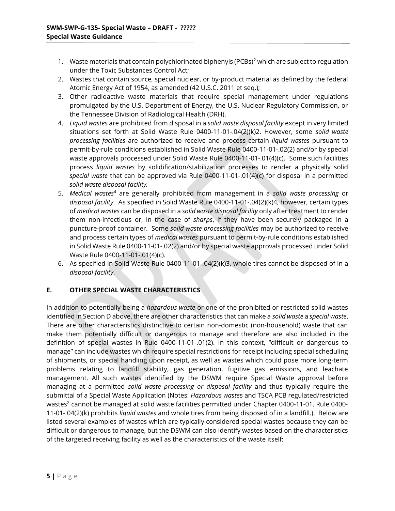- 1. Waste materials that contain polychlorinated biphenyls (PCBs)<sup>2</sup> which are subject to regulation under the Toxic Substances Control Act;
- 2. Wastes that contain source, special nuclear, or by-product material as defined by the federal Atomic Energy Act of 1954, as amended (42 U.S.C. 2011 et seq.);
- 3. Other radioactive waste materials that require special management under regulations promulgated by the U.S. Department of Energy, the U.S. Nuclear Regulatory Commission, or the Tennessee Division of Radiological Health (DRH).
- 4. Liquid wastes are prohibited from disposal in a solid waste disposal facility except in very limited situations set forth at Solid Waste Rule 0400-11-01-.04(2)(k)2. However, some solid waste processing facilities are authorized to receive and process certain liquid wastes pursuant to permit-by-rule conditions established in Solid Waste Rule 0400-11-01-.02(2) and/or by special waste approvals processed under Solid Waste Rule 0400-11-01-.01(4)(c). Some such facilities process liquid wastes by solidification/stabilization processes to render a physically solid special waste that can be approved via Rule 0400-11-01-.01(4)(c) for disposal in a permitted solid waste disposal facility.
- 5. Medical wastes<sup>4</sup> are generally prohibited from management in a solid waste processing or disposal facility. As specified in Solid Waste Rule 0400-11-01-.04(2)(k)4, however, certain types of medical wastes can be disposed in a solid waste disposal facility only after treatment to render them non-infectious or, in the case of sharps, if they have been securely packaged in a puncture-proof container. Some solid waste processing facilities may be authorized to receive and process certain types of medical wastes pursuant to permit-by-rule conditions established in Solid Waste Rule 0400-11-01-.02(2) and/or by special waste approvals processed under Solid Waste Rule 0400-11-01-.01(4)(c).
- 6. As specified in Solid Waste Rule 0400-11-01-.04(2)(k)3, whole tires cannot be disposed of in a disposal facility.

## E. OTHER SPECIAL WASTE CHARACTERISTICS

In addition to potentially being a *hazardous waste* or one of the prohibited or restricted solid wastes identified in Section D above, there are other characteristics that can make a solid waste a special waste. There are other characteristics distinctive to certain non-domestic (non-household) waste that can make them potentially difficult or dangerous to manage and therefore are also included in the definition of special wastes in Rule 0400-11-01-.01(2). In this context, "difficult or dangerous to manage" can include wastes which require special restrictions for receipt including special scheduling of shipments, or special handling upon receipt, as well as wastes which could pose more long-term problems relating to landfill stability, gas generation, fugitive gas emissions, and leachate management. All such wastes identified by the DSWM require Special Waste approval before managing at a permitted solid waste processing or disposal facility and thus typically require the submittal of a Special Waste Application (Notes: Hazardous wastes and TSCA PCB regulated/restricted wastes $^{\rm 2}$  cannot be managed at solid waste facilities permitted under Chapter 0400-11-01. Rule 0400-11-01-.04(2)(k) prohibits liquid wastes and whole tires from being disposed of in a landfill.). Below are listed several examples of wastes which are typically considered special wastes because they can be difficult or dangerous to manage, but the DSWM can also identify wastes based on the characteristics of the targeted receiving facility as well as the characteristics of the waste itself: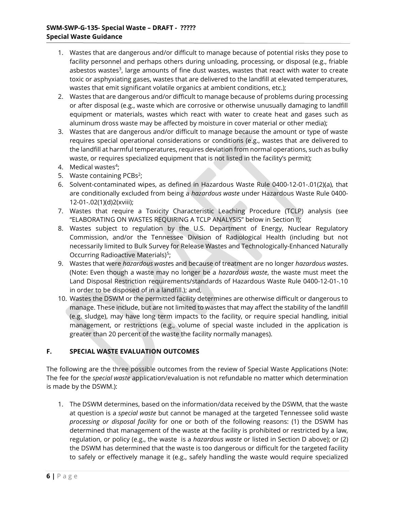- 1. Wastes that are dangerous and/or difficult to manage because of potential risks they pose to facility personnel and perhaps others during unloading, processing, or disposal (e.g., friable asbestos wastes<sup>3</sup>, large amounts of fine dust wastes, wastes that react with water to create toxic or asphyxiating gases, wastes that are delivered to the landfill at elevated temperatures, wastes that emit significant volatile organics at ambient conditions, etc.);
- 2. Wastes that are dangerous and/or difficult to manage because of problems during processing or after disposal (e.g., waste which are corrosive or otherwise unusually damaging to landfill equipment or materials, wastes which react with water to create heat and gases such as aluminum dross waste may be affected by moisture in cover material or other media);
- 3. Wastes that are dangerous and/or difficult to manage because the amount or type of waste requires special operational considerations or conditions (e.g., wastes that are delivered to the landfill at harmful temperatures, requires deviation from normal operations, such as bulky waste, or requires specialized equipment that is not listed in the facility's permit);
- 4. Medical wastes<sup>4</sup>;

- 5. Waste containing PCBs<sup>2</sup>;
- 6. Solvent-contaminated wipes, as defined in Hazardous Waste Rule 0400-12-01-.01(2)(a), that are conditionally excluded from being a hazardous waste under Hazardous Waste Rule 0400-12-01-.02(1)(d)2(xviii);
- 7. Wastes that require a Toxicity Characteristic Leaching Procedure (TCLP) analysis (see "ELABORATING ON WASTES REQUIRING A TCLP ANALYSIS" below in Section I);
- 8. Wastes subject to regulation by the U.S. Department of Energy, Nuclear Regulatory Commission, and/or the Tennessee Division of Radiological Health (including but not necessarily limited to Bulk Survey for Release Wastes and Technologically-Enhanced Naturally Occurring Radioactive Materials)<sup>5</sup>;
- 9. Wastes that were hazardous wastes and because of treatment are no longer hazardous wastes. (Note: Even though a waste may no longer be a hazardous waste, the waste must meet the Land Disposal Restriction requirements/standards of Hazardous Waste Rule 0400-12-01-.10 in order to be disposed of in a landfill.); and,
- 10. Wastes the DSWM or the permitted facility determines are otherwise difficult or dangerous to manage. These include, but are not limited to wastes that may affect the stability of the landfill (e.g. sludge), may have long term impacts to the facility, or require special handling, initial management, or restrictions (e.g., volume of special waste included in the application is greater than 20 percent of the waste the facility normally manages).

# F. SPECIAL WASTE EVALUATION OUTCOMES

The following are the three possible outcomes from the review of Special Waste Applications (Note: The fee for the special waste application/evaluation is not refundable no matter which determination is made by the DSWM.):

1. The DSWM determines, based on the information/data received by the DSWM, that the waste at question is a special waste but cannot be managed at the targeted Tennessee solid waste processing or disposal facility for one or both of the following reasons: (1) the DSWM has determined that management of the waste at the facility is prohibited or restricted by a law, regulation, or policy (e.g., the waste is a hazardous waste or listed in Section D above); or (2) the DSWM has determined that the waste is too dangerous or difficult for the targeted facility to safely or effectively manage it (e.g., safely handling the waste would require specialized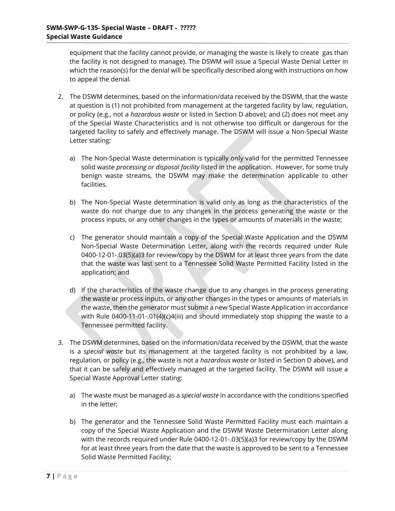equipment that the facility cannot provide, or managing the waste is likely to create gas than the facility is not designed to manage). The DSWM will issue a Special Waste Denial Letter in which the reason(s) for the denial will be specifically described along with instructions on how to appeal the denial.

- 2. The DSWM determines, based on the information/data received by the DSWM, that the waste at question is (1) not prohibited from management at the targeted facility by law, regulation, or policy (e.g., not a hazardous waste or listed in Section D above); and (2) does not meet any of the Special Waste Characteristics and is not otherwise too difficult or dangerous for the targeted facility to safely and effectively manage. The DSWM will issue a Non-Special Waste Letter stating:
	- a) The Non-Special Waste determination is typically only valid for the permitted Tennessee solid waste processing or disposal facility listed in the application. However, for some truly benign waste streams, the DSWM may make the determination applicable to other facilities.
	- b) The Non-Special Waste determination is valid only as long as the characteristics of the waste do not change due to any changes in the process generating the waste or the process inputs, or any other changes in the types or amounts of materials in the waste;
	- c) The generator should maintain a copy of the Special Waste Application and the DSWM Non-Special Waste Determination Letter, along with the records required under Rule 0400-12-01-.03(5)(a)3 for review/copy by the DSWM for at least three years from the date that the waste was last sent to a Tennessee Solid Waste Permitted Facility listed in the application; and
	- d) If the characteristics of the waste change due to any changes in the process generating the waste or process inputs, or any other changes in the types or amounts of materials in the waste, then the generator must submit a new Special Waste Application in accordance with Rule 0400-11-01-.01(4)(c)4(iii) and should immediately stop shipping the waste to a Tennessee permitted facility.
- 3. The DSWM determines, based on the information/data received by the DSWM, that the waste is a special waste but its management at the targeted facility is not prohibited by a law, regulation, or policy (e.g., the waste is not a hazardous waste or listed in Section D above), and that it can be safely and effectively managed at the targeted facility. The DSWM will issue a Special Waste Approval Letter stating:
	- a) The waste must be managed as a special waste in accordance with the conditions specified in the letter;
	- b) The generator and the Tennessee Solid Waste Permitted Facility must each maintain a copy of the Special Waste Application and the DSWM Waste Determination Letter along with the records required under Rule 0400-12-01-.03(5)(a)3 for review/copy by the DSWM for at least three years from the date that the waste is approved to be sent to a Tennessee Solid Waste Permitted Facility;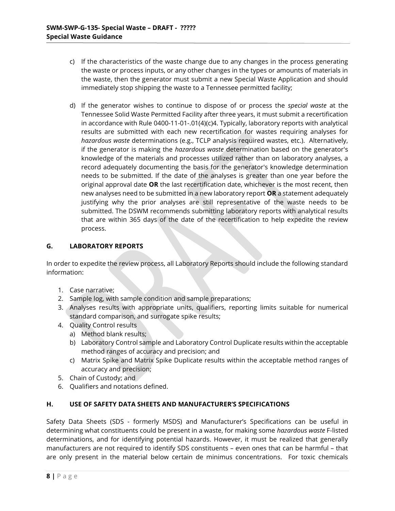- c) If the characteristics of the waste change due to any changes in the process generating the waste or process inputs, or any other changes in the types or amounts of materials in the waste, then the generator must submit a new Special Waste Application and should immediately stop shipping the waste to a Tennessee permitted facility;
- d) If the generator wishes to continue to dispose of or process the special waste at the Tennessee Solid Waste Permitted Facility after three years, it must submit a recertification in accordance with Rule 0400-11-01-.01(4)(c)4. Typically, laboratory reports with analytical results are submitted with each new recertification for wastes requiring analyses for hazardous waste determinations (e.g., TCLP analysis required wastes, etc.). Alternatively, if the generator is making the *hazardous waste* determination based on the generator's knowledge of the materials and processes utilized rather than on laboratory analyses, a record adequately documenting the basis for the generator's knowledge determination needs to be submitted. If the date of the analyses is greater than one year before the original approval date OR the last recertification date, whichever is the most recent, then new analyses need to be submitted in a new laboratory report OR a statement adequately justifying why the prior analyses are still representative of the waste needs to be submitted. The DSWM recommends submitting laboratory reports with analytical results that are within 365 days of the date of the recertification to help expedite the review process.

#### G. LABORATORY REPORTS

In order to expedite the review process, all Laboratory Reports should include the following standard information:

- 1. Case narrative;
- 2. Sample log, with sample condition and sample preparations;
- 3. Analyses results with appropriate units, qualifiers, reporting limits suitable for numerical standard comparison, and surrogate spike results;
- 4. Quality Control results
	- a) Method blank results;
	- b) Laboratory Control sample and Laboratory Control Duplicate results within the acceptable method ranges of accuracy and precision; and
	- c) Matrix Spike and Matrix Spike Duplicate results within the acceptable method ranges of accuracy and precision;
- 5. Chain of Custody; and
- 6. Qualifiers and notations defined.

#### H. USE OF SAFETY DATA SHEETS AND MANUFACTURER'S SPECIFICATIONS

Safety Data Sheets (SDS - formerly MSDS) and Manufacturer's Specifications can be useful in determining what constituents could be present in a waste, for making some hazardous waste F-listed determinations, and for identifying potential hazards. However, it must be realized that generally manufacturers are not required to identify SDS constituents – even ones that can be harmful – that are only present in the material below certain de minimus concentrations. For toxic chemicals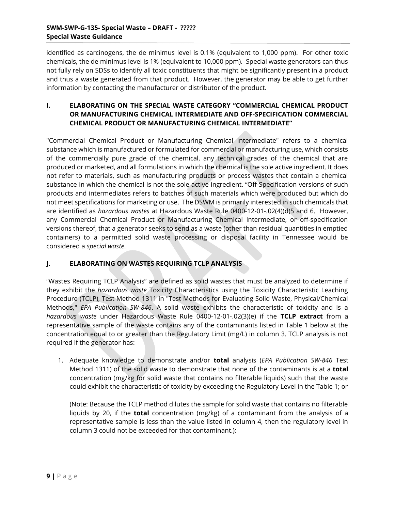identified as carcinogens, the de minimus level is 0.1% (equivalent to 1,000 ppm). For other toxic chemicals, the de minimus level is 1% (equivalent to 10,000 ppm). Special waste generators can thus not fully rely on SDSs to identify all toxic constituents that might be significantly present in a product and thus a waste generated from that product. However, the generator may be able to get further information by contacting the manufacturer or distributor of the product.

# I. ELABORATING ON THE SPECIAL WASTE CATEGORY "COMMERCIAL CHEMICAL PRODUCT OR MANUFACTURING CHEMICAL INTERMEDIATE AND OFF-SPECIFICATION COMMERCIAL CHEMICAL PRODUCT OR MANUFACTURING CHEMICAL INTERMEDIATE"

"Commercial Chemical Product or Manufacturing Chemical Intermediate" refers to a chemical substance which is manufactured or formulated for commercial or manufacturing use, which consists of the commercially pure grade of the chemical, any technical grades of the chemical that are produced or marketed, and all formulations in which the chemical is the sole active ingredient. It does not refer to materials, such as manufacturing products or process wastes that contain a chemical substance in which the chemical is not the sole active ingredient. "Off-Specification versions of such products and intermediates refers to batches of such materials which were produced but which do not meet specifications for marketing or use. The DSWM is primarily interested in such chemicals that are identified as hazardous wastes at Hazardous Waste Rule 0400-12-01-.02(4)(d)5 and 6. However, any Commercial Chemical Product or Manufacturing Chemical Intermediate, or off-specification versions thereof, that a generator seeks to send as a waste (other than residual quantities in emptied containers) to a permitted solid waste processing or disposal facility in Tennessee would be considered a special waste.

# J. ELABORATING ON WASTES REQUIRING TCLP ANALYSIS

"Wastes Requiring TCLP Analysis" are defined as solid wastes that must be analyzed to determine if they exhibit the *hazardous waste* Toxicity Characteristics using the Toxicity Characteristic Leaching Procedure (TCLP), Test Method 1311 in "Test Methods for Evaluating Solid Waste, Physical/Chemical Methods," EPA Publication SW-846. A solid waste exhibits the characteristic of toxicity and is a hazardous waste under Hazardous Waste Rule 0400-12-01-.02(3)(e) if the TCLP extract from a representative sample of the waste contains any of the contaminants listed in Table 1 below at the concentration equal to or greater than the Regulatory Limit (mg/L) in column 3. TCLP analysis is not required if the generator has:

1. Adequate knowledge to demonstrate and/or **total** analysis (*EPA Publication SW-846* Test Method 1311) of the solid waste to demonstrate that none of the contaminants is at a total concentration (mg/kg for solid waste that contains no filterable liquids) such that the waste could exhibit the characteristic of toxicity by exceeding the Regulatory Level in the Table 1; or

(Note: Because the TCLP method dilutes the sample for solid waste that contains no filterable liquids by 20, if the **total** concentration ( $mg/kg$ ) of a contaminant from the analysis of a representative sample is less than the value listed in column 4, then the regulatory level in column 3 could not be exceeded for that contaminant.);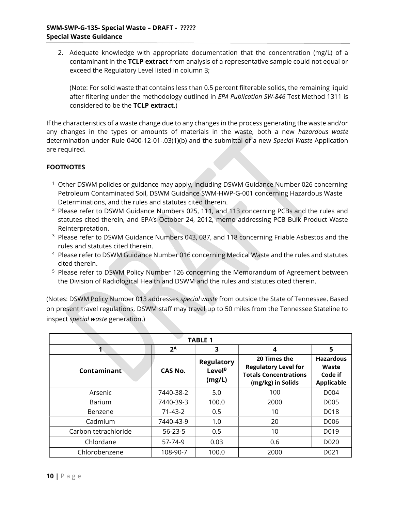2. Adequate knowledge with appropriate documentation that the concentration (mg/L) of a contaminant in the TCLP extract from analysis of a representative sample could not equal or exceed the Regulatory Level listed in column 3;

(Note: For solid waste that contains less than 0.5 percent filterable solids, the remaining liquid after filtering under the methodology outlined in EPA Publication SW-846 Test Method 1311 is considered to be the TCLP extract.)

If the characteristics of a waste change due to any changes in the process generating the waste and/or any changes in the types or amounts of materials in the waste, both a new hazardous waste determination under Rule 0400-12-01-.03(1)(b) and the submittal of a new Special Waste Application are required.

## **FOOTNOTES**

Ī

- <sup>1</sup> Other DSWM policies or guidance may apply, including DSWM Guidance Number 026 concerning Petroleum Contaminated Soil, DSWM Guidance SWM-HWP-G-001 concerning Hazardous Waste Determinations, and the rules and statutes cited therein.
- $2$  Please refer to DSWM Guidance Numbers 025, 111, and 113 concerning PCBs and the rules and statutes cited therein, and EPA's October 24, 2012, memo addressing PCB Bulk Product Waste Reinterpretation.
- $3$  Please refer to DSWM Guidance Numbers 043, 087, and 118 concerning Friable Asbestos and the rules and statutes cited therein.
- <sup>4</sup> Please refer to DSWM Guidance Number 016 concerning Medical Waste and the rules and statutes cited therein.
- <sup>5</sup> Please refer to DSWM Policy Number 126 concerning the Memorandum of Agreement between the Division of Radiological Health and DSWM and the rules and statutes cited therein.

(Notes: DSWM Policy Number 013 addresses special waste from outside the State of Tennessee. Based on present travel regulations, DSWM staff may travel up to 50 miles from the Tennessee Stateline to inspect special waste generation.)

| <b>TABLE 1</b>       |               |                                                   |                                                                                                  |                                                           |  |  |
|----------------------|---------------|---------------------------------------------------|--------------------------------------------------------------------------------------------------|-----------------------------------------------------------|--|--|
|                      | $2^A$         | 3                                                 | 4                                                                                                | 5                                                         |  |  |
| Contaminant          | CAS No.       | <b>Regulatory</b><br>Level <sup>B</sup><br>(mg/L) | 20 Times the<br><b>Regulatory Level for</b><br><b>Totals Concentrations</b><br>(mg/kg) in Solids | <b>Hazardous</b><br>Waste<br>Code if<br><b>Applicable</b> |  |  |
| Arsenic              | 7440-38-2     | 5.0                                               | 100                                                                                              | D <sub>004</sub>                                          |  |  |
| Barium               | 7440-39-3     | 100.0                                             | 2000                                                                                             | D <sub>005</sub>                                          |  |  |
| Benzene              | $71 - 43 - 2$ | 0.5                                               | 10                                                                                               | D018                                                      |  |  |
| Cadmium              | 7440-43-9     | 1.0                                               | 20                                                                                               | D006                                                      |  |  |
| Carbon tetrachloride | $56 - 23 - 5$ | 0.5                                               | 10                                                                                               | D019                                                      |  |  |
| Chlordane            | 57-74-9       | 0.03                                              | 0.6                                                                                              | D020                                                      |  |  |
| Chlorobenzene        | 108-90-7      | 100.0                                             | 2000                                                                                             | D <sub>0</sub> 21                                         |  |  |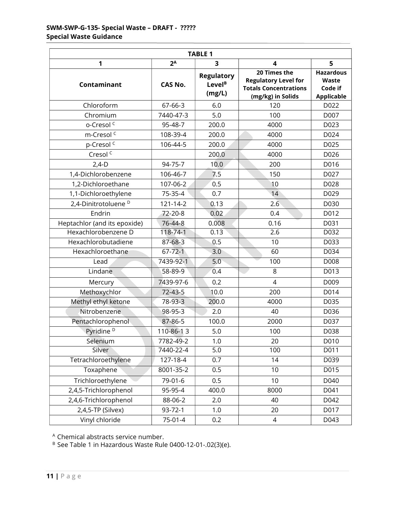| <b>TABLE 1</b>                  |                |                                                   |                                                                                                  |                                                           |  |  |
|---------------------------------|----------------|---------------------------------------------------|--------------------------------------------------------------------------------------------------|-----------------------------------------------------------|--|--|
| 1                               | $2^A$          | 3                                                 | $\overline{\mathbf{4}}$                                                                          | 5                                                         |  |  |
| Contaminant                     | <b>CAS No.</b> | <b>Regulatory</b><br>Level <sup>B</sup><br>(mg/L) | 20 Times the<br><b>Regulatory Level for</b><br><b>Totals Concentrations</b><br>(mg/kg) in Solids | <b>Hazardous</b><br>Waste<br>Code if<br><b>Applicable</b> |  |  |
| Chloroform                      | 67-66-3        | 6.0                                               | 120                                                                                              | D022                                                      |  |  |
| Chromium                        | 7440-47-3      | 5.0                                               | 100                                                                                              | D007                                                      |  |  |
| o-Cresol <sup>c</sup>           | 95-48-7        | 200.0                                             | 4000                                                                                             | D023                                                      |  |  |
| m-Cresol <sup>c</sup>           | 108-39-4       | 200.0                                             | 4000                                                                                             | D024                                                      |  |  |
| p-Cresol <sup>c</sup>           | 106-44-5       | 200.0                                             | 4000                                                                                             | D025                                                      |  |  |
| Cresol <sup>c</sup>             |                | 200.0                                             | 4000                                                                                             | D026                                                      |  |  |
| $2,4-D$                         | 94-75-7        | 10.0                                              | 200                                                                                              | D016                                                      |  |  |
| 1,4-Dichlorobenzene             | 106-46-7       | 7.5                                               | 150                                                                                              | D027                                                      |  |  |
| 1,2-Dichloroethane              | 107-06-2       | 0.5                                               | 10                                                                                               | D028                                                      |  |  |
| 1,1-Dichloroethylene            | 75-35-4        | 0.7                                               | 14                                                                                               | D029                                                      |  |  |
| 2,4-Dinitrotoluene <sup>D</sup> | 121-14-2       | 0.13                                              | 2.6                                                                                              | D030                                                      |  |  |
| Endrin                          | 72-20-8        | 0.02                                              | 0.4                                                                                              | D012                                                      |  |  |
| Heptachlor (and its epoxide)    | 76-44-8        | 0.008                                             | 0.16                                                                                             | D031                                                      |  |  |
| Hexachlorobenzene D             | 118-74-1       | 0.13                                              | 2.6                                                                                              | D032                                                      |  |  |
| Hexachlorobutadiene             | $87 - 68 - 3$  | 0.5                                               | 10                                                                                               | D033                                                      |  |  |
| Hexachloroethane                | $67 - 72 - 1$  | 3.0                                               | 60                                                                                               | D034                                                      |  |  |
| Lead                            | 7439-92-1      | 5.0                                               | 100                                                                                              | D008                                                      |  |  |
| Lindane                         | 58-89-9        | 0.4                                               | 8                                                                                                | D013                                                      |  |  |
| Mercury                         | 7439-97-6      | 0.2                                               | $\overline{4}$                                                                                   | D009                                                      |  |  |
| Methoxychlor                    | $72 - 43 - 5$  | 10.0                                              | 200                                                                                              | D014                                                      |  |  |
| Methyl ethyl ketone             | 78-93-3        | 200.0                                             | 4000                                                                                             | D035                                                      |  |  |
| Nitrobenzene                    | 98-95-3        | 2.0                                               | 40                                                                                               | D036                                                      |  |  |
| Pentachlorophenol               | 87-86-5        | 100.0                                             | 2000                                                                                             | D037                                                      |  |  |
| Pyridine <sup>D</sup>           | 110-86-13      | 5.0                                               | 100                                                                                              | D038                                                      |  |  |
| Selenium                        | 7782-49-2      | 1.0                                               | 20                                                                                               | D010                                                      |  |  |
| Silver                          | 7440-22-4      | 5.0                                               | 100                                                                                              | D011                                                      |  |  |
| Tetrachloroethylene             | 127-18-4       | 0.7                                               | 14                                                                                               | D039                                                      |  |  |
| Toxaphene                       | 8001-35-2      | 0.5                                               | 10                                                                                               | D015                                                      |  |  |
| Trichloroethylene               | 79-01-6        | 0.5                                               | 10                                                                                               | D040                                                      |  |  |
| 2,4,5-Trichlorophenol           | 95-95-4        | 400.0                                             | 8000                                                                                             | D041                                                      |  |  |
| 2,4,6-Trichlorophenol           | 88-06-2        | 2.0                                               | 40                                                                                               | D042                                                      |  |  |
| 2,4,5-TP (Silvex)               | 93-72-1        | 1.0                                               | 20                                                                                               | D017                                                      |  |  |
| Vinyl chloride                  | 75-01-4        | 0.2                                               | 4                                                                                                | D043                                                      |  |  |

<sup>A</sup> Chemical abstracts service number.

<sup>B</sup> See Table 1 in Hazardous Waste Rule 0400-12-01-.02(3)(e).